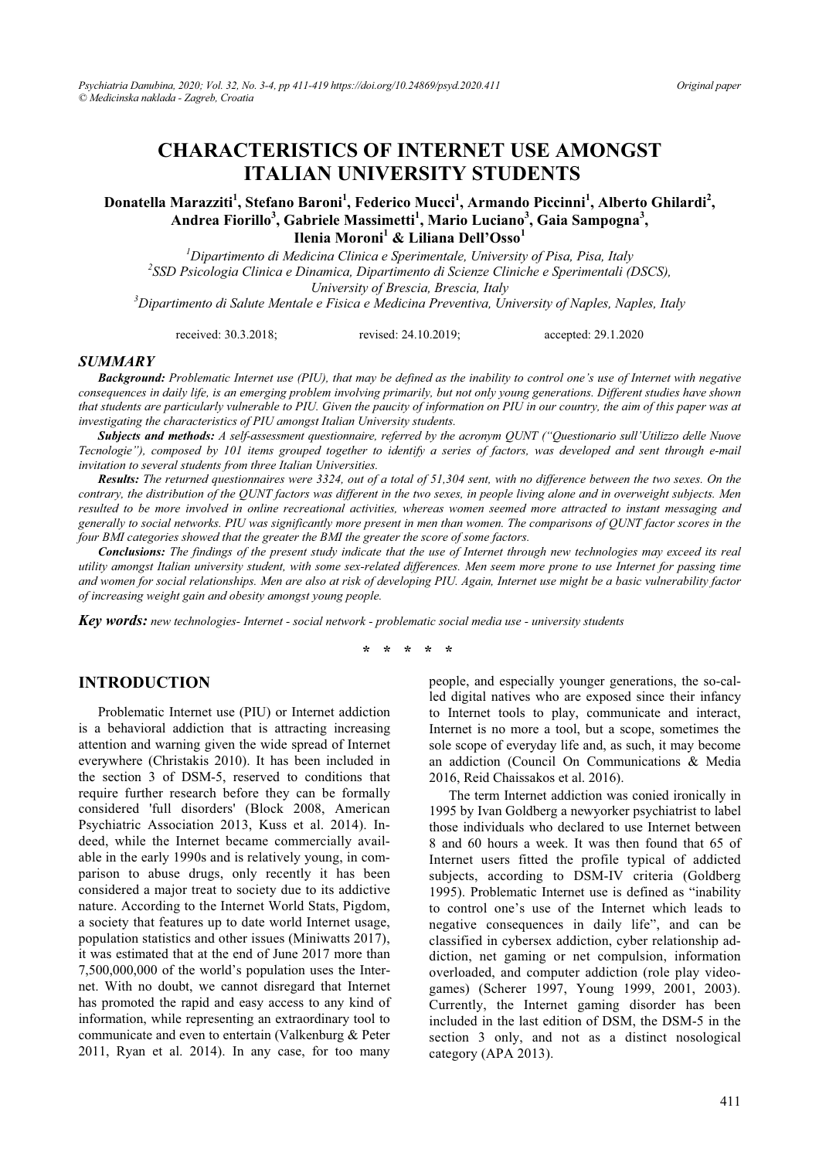# **CHARACTERISTICS OF INTERNET USE AMONGST ITALIAN UNIVERSITY STUDENTS**

### Donatella Marazziti<sup>1</sup>, Stefano Baroni<sup>1</sup>, Federico Mucci<sup>1</sup>, Armando Piccinni<sup>1</sup>, Alberto Ghilardi<sup>2</sup>, **Andrea Fiorillo<sup>3</sup> , Gabriele Massimetti<sup>1</sup> , Mario Luciano<sup>3</sup> , Gaia Sampogna<sup>3</sup> , Ilenia Moroni1 & Liliana Dell'Osso<sup>1</sup>**

<sup>1</sup> *Dipartimento di Medicina Clinica e Sperimentale, University of Pisa, Pisa, Italy* <sup>2</sup> SSD *Paisalogia Clinica e Dipartimento di Sainne Cliniche e Sperimentali (I SSD Psicologia Clinica e Dinamica, Dipartimento di Scienze Cliniche e Sperimentali (DSCS), University of Brescia, Brescia, Italy 3 Dipartimento di Salute Mentale e Fisica e Medicina Preventiva, University of Naples, Naples, Italy* 

received: 30.3.2018; revised: 24.10.2019; accepted: 29.1.2020

#### *SUMMARY*

*Background: Problematic Internet use (PIU), that may be defined as the inability to control one's use of Internet with negative consequences in daily life, is an emerging problem involving primarily, but not only young generations. Different studies have shown that students are particularly vulnerable to PIU. Given the paucity of information on PIU in our country, the aim of this paper was at investigating the characteristics of PIU amongst Italian University students.* 

*Subjects and methods: A self-assessment questionnaire, referred by the acronym QUNT ("Questionario sull'Utilizzo delle Nuove Tecnologie"), composed by 101 items grouped together to identify a series of factors, was developed and sent through e-mail invitation to several students from three Italian Universities.* 

*Results: The returned questionnaires were 3324, out of a total of 51,304 sent, with no difference between the two sexes. On the contrary, the distribution of the QUNT factors was different in the two sexes, in people living alone and in overweight subjects. Men resulted to be more involved in online recreational activities, whereas women seemed more attracted to instant messaging and generally to social networks. PIU was significantly more present in men than women. The comparisons of QUNT factor scores in the four BMI categories showed that the greater the BMI the greater the score of some factors.* 

*Conclusions: The findings of the present study indicate that the use of Internet through new technologies may exceed its real utility amongst Italian university student, with some sex-related differences. Men seem more prone to use Internet for passing time and women for social relationships. Men are also at risk of developing PIU. Again, Internet use might be a basic vulnerability factor of increasing weight gain and obesity amongst young people.* 

*Key words: new technologies- Internet - social network - problematic social media use - university students* 

**\* \* \* \* \*** 

#### **INTRODUCTION**

Problematic Internet use (PIU) or Internet addiction is a behavioral addiction that is attracting increasing attention and warning given the wide spread of Internet everywhere (Christakis 2010). It has been included in the section 3 of DSM-5, reserved to conditions that require further research before they can be formally considered 'full disorders' (Block 2008, American Psychiatric Association 2013, Kuss et al. 2014). Indeed, while the Internet became commercially available in the early 1990s and is relatively young, in comparison to abuse drugs, only recently it has been considered a major treat to society due to its addictive nature. According to the Internet World Stats, Pigdom, a society that features up to date world Internet usage, population statistics and other issues (Miniwatts 2017), it was estimated that at the end of June 2017 more than 7,500,000,000 of the world's population uses the Internet. With no doubt, we cannot disregard that Internet has promoted the rapid and easy access to any kind of information, while representing an extraordinary tool to communicate and even to entertain (Valkenburg & Peter 2011, Ryan et al. 2014). In any case, for too many

people, and especially younger generations, the so-called digital natives who are exposed since their infancy to Internet tools to play, communicate and interact, Internet is no more a tool, but a scope, sometimes the sole scope of everyday life and, as such, it may become an addiction (Council On Communications & Media 2016, Reid Chaissakos et al. 2016).

The term Internet addiction was conied ironically in 1995 by Ivan Goldberg a newyorker psychiatrist to label those individuals who declared to use Internet between 8 and 60 hours a week. It was then found that 65 of Internet users fitted the profile typical of addicted subjects, according to DSM-IV criteria (Goldberg 1995). Problematic Internet use is defined as "inability to control one's use of the Internet which leads to negative consequences in daily life", and can be classified in cybersex addiction, cyber relationship addiction, net gaming or net compulsion, information overloaded, and computer addiction (role play videogames) (Scherer 1997, Young 1999, 2001, 2003). Currently, the Internet gaming disorder has been included in the last edition of DSM, the DSM-5 in the section 3 only, and not as a distinct nosological category (APA 2013).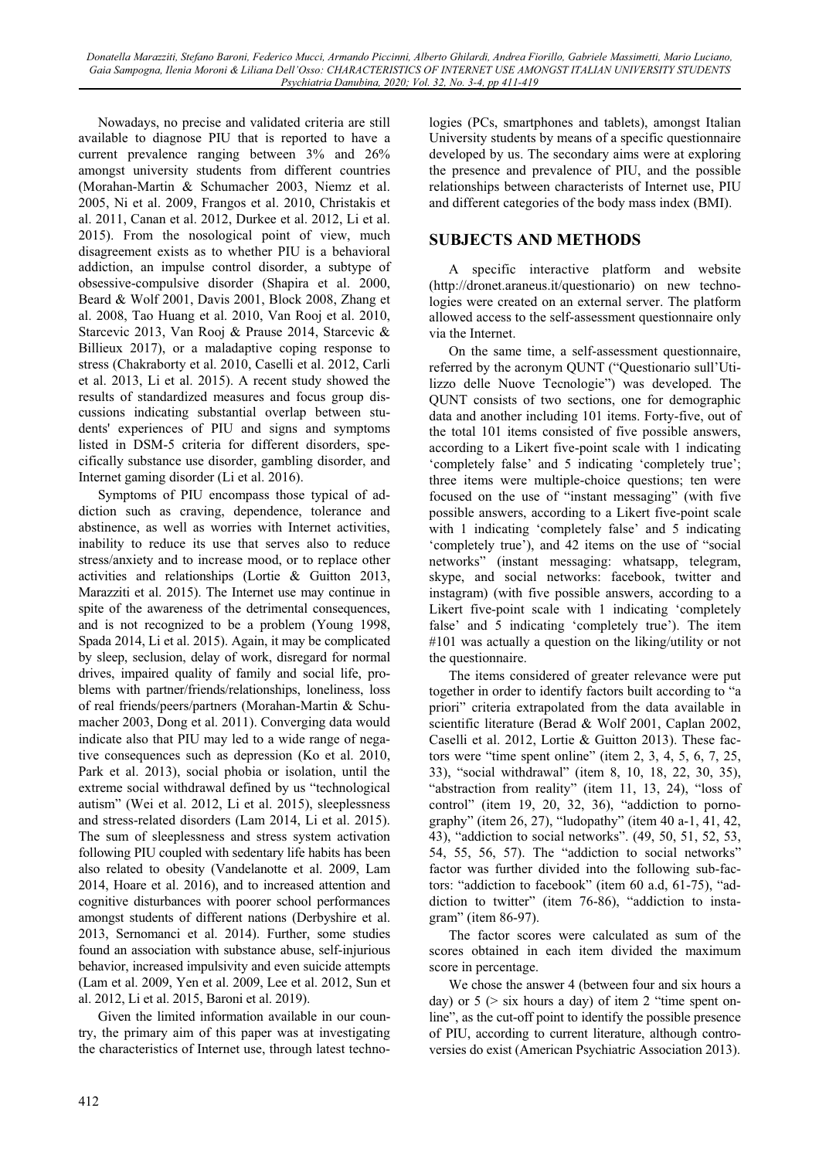Nowadays, no precise and validated criteria are still available to diagnose PIU that is reported to have a current prevalence ranging between 3% and 26% amongst university students from different countries (Morahan-Martin & Schumacher 2003, Niemz et al. 2005, Ni et al. 2009, Frangos et al. 2010, Christakis et al. 2011, Canan et al. 2012, Durkee et al. 2012, Li et al. 2015). From the nosological point of view, much disagreement exists as to whether PIU is a behavioral addiction, an impulse control disorder, a subtype of obsessive-compulsive disorder (Shapira et al. 2000, Beard & Wolf 2001, Davis 2001, Block 2008, Zhang et al. 2008, Tao Huang et al. 2010, Van Rooj et al. 2010, Starcevic 2013, Van Rooj & Prause 2014, Starcevic & Billieux 2017), or a maladaptive coping response to stress (Chakraborty et al. 2010, Caselli et al. 2012, Carli et al. 2013, Li et al. 2015). A recent study showed the results of standardized measures and focus group discussions indicating substantial overlap between students' experiences of PIU and signs and symptoms listed in DSM-5 criteria for different disorders, specifically substance use disorder, gambling disorder, and Internet gaming disorder (Li et al. 2016).

Symptoms of PIU encompass those typical of addiction such as craving, dependence, tolerance and abstinence, as well as worries with Internet activities, inability to reduce its use that serves also to reduce stress/anxiety and to increase mood, or to replace other activities and relationships (Lortie & Guitton 2013, Marazziti et al. 2015). The Internet use may continue in spite of the awareness of the detrimental consequences, and is not recognized to be a problem (Young 1998, Spada 2014, Li et al. 2015). Again, it may be complicated by sleep, seclusion, delay of work, disregard for normal drives, impaired quality of family and social life, problems with partner/friends/relationships, loneliness, loss of real friends/peers/partners (Morahan-Martin & Schumacher 2003, Dong et al. 2011). Converging data would indicate also that PIU may led to a wide range of negative consequences such as depression (Ko et al. 2010, Park et al. 2013), social phobia or isolation, until the extreme social withdrawal defined by us "technological autism" (Wei et al. 2012, Li et al. 2015), sleeplessness and stress-related disorders (Lam 2014, Li et al. 2015). The sum of sleeplessness and stress system activation following PIU coupled with sedentary life habits has been also related to obesity (Vandelanotte et al. 2009, Lam 2014, Hoare et al. 2016), and to increased attention and cognitive disturbances with poorer school performances amongst students of different nations (Derbyshire et al. 2013, Sernomanci et al. 2014). Further, some studies found an association with substance abuse, self-injurious behavior, increased impulsivity and even suicide attempts (Lam et al. 2009, Yen et al. 2009, Lee et al. 2012, Sun et al. 2012, Li et al. 2015, Baroni et al. 2019).

Given the limited information available in our country, the primary aim of this paper was at investigating the characteristics of Internet use, through latest technologies (PCs, smartphones and tablets), amongst Italian University students by means of a specific questionnaire developed by us. The secondary aims were at exploring the presence and prevalence of PIU, and the possible relationships between characterists of Internet use, PIU and different categories of the body mass index (BMI).

## **SUBJECTS AND METHODS**

A specific interactive platform and website (http://dronet.araneus.it/questionario) on new technologies were created on an external server. The platform allowed access to the self-assessment questionnaire only via the Internet.

On the same time, a self-assessment questionnaire, referred by the acronym QUNT ("Questionario sull'Utilizzo delle Nuove Tecnologie") was developed. The QUNT consists of two sections, one for demographic data and another including 101 items. Forty-five, out of the total 101 items consisted of five possible answers, according to a Likert five-point scale with 1 indicating 'completely false' and 5 indicating 'completely true'; three items were multiple-choice questions; ten were focused on the use of "instant messaging" (with five possible answers, according to a Likert five-point scale with 1 indicating 'completely false' and 5 indicating 'completely true'), and 42 items on the use of "social networks" (instant messaging: whatsapp, telegram, skype, and social networks: facebook, twitter and instagram) (with five possible answers, according to a Likert five-point scale with 1 indicating 'completely false' and 5 indicating 'completely true'). The item #101 was actually a question on the liking/utility or not the questionnaire.

The items considered of greater relevance were put together in order to identify factors built according to "a priori" criteria extrapolated from the data available in scientific literature (Berad & Wolf 2001, Caplan 2002, Caselli et al. 2012, Lortie & Guitton 2013). These factors were "time spent online" (item 2, 3, 4, 5, 6, 7, 25, 33), "social withdrawal" (item 8, 10, 18, 22, 30, 35), "abstraction from reality" (item 11, 13, 24), "loss of control" (item 19, 20, 32, 36), "addiction to pornography" (item 26, 27), "ludopathy" (item 40 a-1, 41, 42, 43), "addiction to social networks". (49, 50, 51, 52, 53, 54, 55, 56, 57). The "addiction to social networks" factor was further divided into the following sub-factors: "addiction to facebook" (item 60 a.d, 61-75), "addiction to twitter" (item 76-86), "addiction to instagram" (item 86-97).

The factor scores were calculated as sum of the scores obtained in each item divided the maximum score in percentage.

We chose the answer 4 (between four and six hours a day) or  $5$  ( $>$  six hours a day) of item 2 "time spent online", as the cut-off point to identify the possible presence of PIU, according to current literature, although controversies do exist (American Psychiatric Association 2013).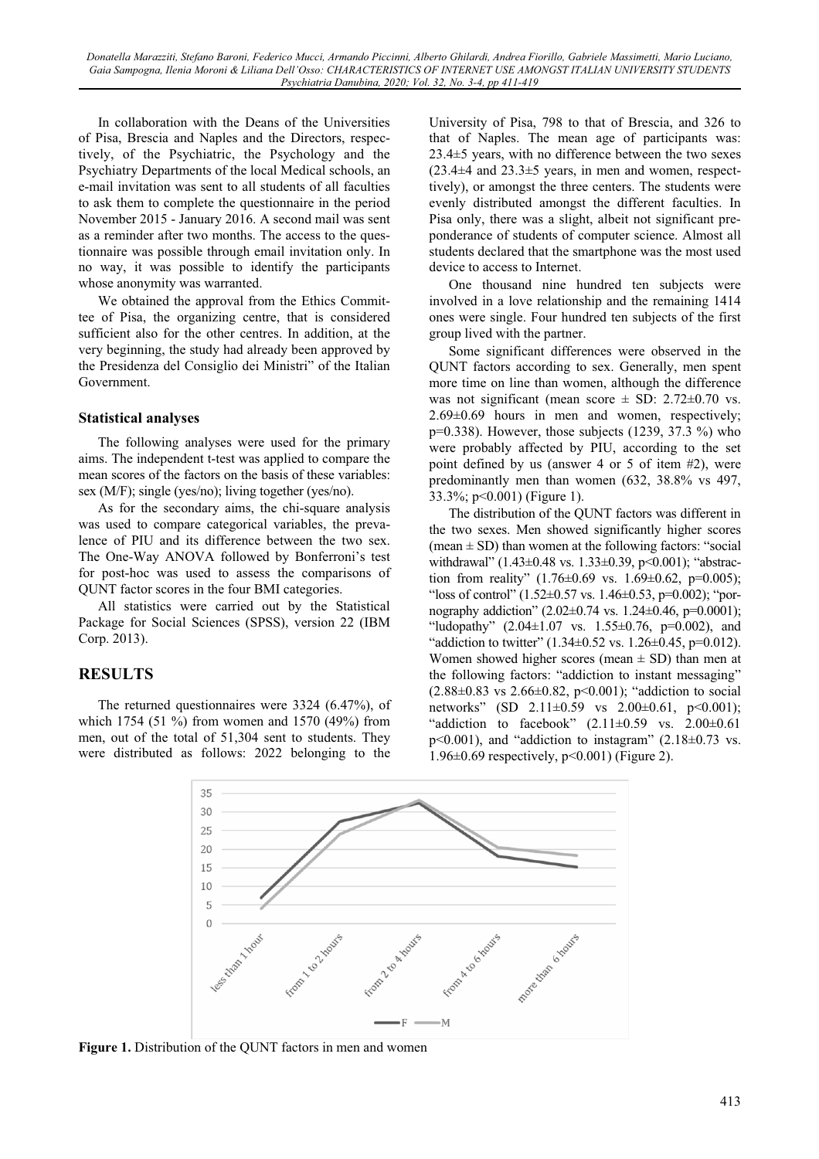In collaboration with the Deans of the Universities of Pisa, Brescia and Naples and the Directors, respectively, of the Psychiatric, the Psychology and the Psychiatry Departments of the local Medical schools, an e-mail invitation was sent to all students of all faculties to ask them to complete the questionnaire in the period November 2015 - January 2016. A second mail was sent as a reminder after two months. The access to the questionnaire was possible through email invitation only. In no way, it was possible to identify the participants whose anonymity was warranted.

We obtained the approval from the Ethics Committee of Pisa, the organizing centre, that is considered sufficient also for the other centres. In addition, at the very beginning, the study had already been approved by the Presidenza del Consiglio dei Ministri" of the Italian Government.

#### **Statistical analyses**

The following analyses were used for the primary aims. The independent t-test was applied to compare the mean scores of the factors on the basis of these variables: sex (M/F); single (yes/no); living together (yes/no).

As for the secondary aims, the chi-square analysis was used to compare categorical variables, the prevalence of PIU and its difference between the two sex. The One-Way ANOVA followed by Bonferroni's test for post-hoc was used to assess the comparisons of QUNT factor scores in the four BMI categories.

All statistics were carried out by the Statistical Package for Social Sciences (SPSS), version 22 (IBM Corp. 2013).

### **RESULTS**

The returned questionnaires were 3324 (6.47%), of which 1754 (51 %) from women and 1570 (49%) from men, out of the total of 51,304 sent to students. They were distributed as follows: 2022 belonging to the

University of Pisa, 798 to that of Brescia, and 326 to that of Naples. The mean age of participants was: 23.4±5 years, with no difference between the two sexes  $(23.4\pm4$  and  $23.3\pm5$  years, in men and women, respecttively), or amongst the three centers. The students were evenly distributed amongst the different faculties. In Pisa only, there was a slight, albeit not significant preponderance of students of computer science. Almost all students declared that the smartphone was the most used device to access to Internet.

One thousand nine hundred ten subjects were involved in a love relationship and the remaining 1414 ones were single. Four hundred ten subjects of the first group lived with the partner.

Some significant differences were observed in the QUNT factors according to sex. Generally, men spent more time on line than women, although the difference was not significant (mean score  $\pm$  SD: 2.72 $\pm$ 0.70 vs. 2.69±0.69 hours in men and women, respectively; p=0.338). However, those subjects (1239, 37.3 %) who were probably affected by PIU, according to the set point defined by us (answer 4 or 5 of item #2), were predominantly men than women (632, 38.8% vs 497, 33.3%; p<0.001) (Figure 1).

The distribution of the QUNT factors was different in the two sexes. Men showed significantly higher scores (mean  $\pm$  SD) than women at the following factors: "social withdrawal" (1.43±0.48 vs. 1.33±0.39, p<0.001); "abstraction from reality"  $(1.76\pm0.69 \text{ vs. } 1.69\pm0.62, \text{ p=0.005})$ ; "loss of control"  $(1.52\pm0.57 \text{ vs. } 1.46\pm0.53, \text{ p} = 0.002)$ ; "pornography addiction" (2.02±0.74 vs. 1.24±0.46, p=0.0001); "ludopathy" (2.04±1.07 vs. 1.55±0.76, p=0.002), and "addiction to twitter"  $(1.34\pm0.52 \text{ vs. } 1.26\pm0.45, \text{ p=0.012}).$ Women showed higher scores (mean  $\pm$  SD) than men at the following factors: "addiction to instant messaging"  $(2.88\pm0.83 \text{ vs } 2.66\pm0.82, \text{ p} < 0.001);$  "addiction to social networks" (SD 2.11±0.59 vs 2.00±0.61, p<0.001); "addiction to facebook"  $(2.11 \pm 0.59$  vs.  $2.00 \pm 0.61$  $p<0.001$ ), and "addiction to instagram" (2.18 $\pm$ 0.73 vs. 1.96±0.69 respectively, p<0.001) (Figure 2).



**Figure 1.** Distribution of the QUNT factors in men and women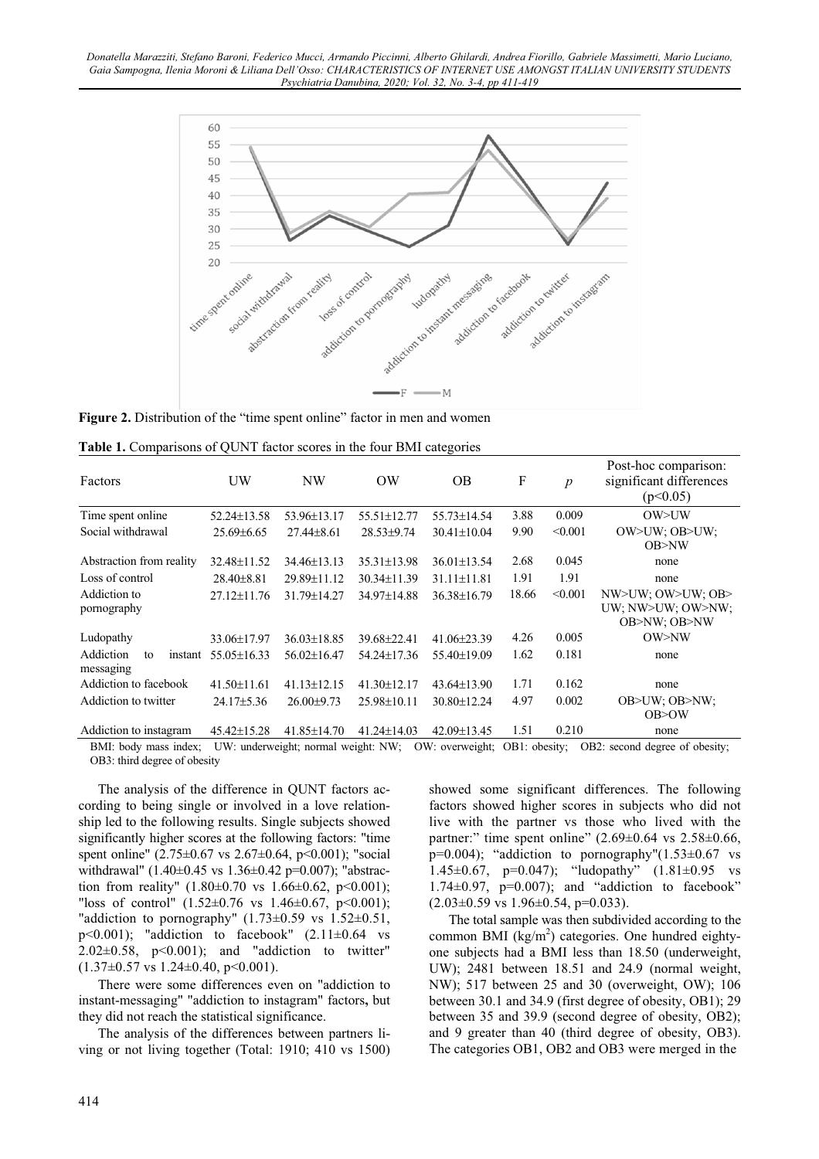

Figure 2. Distribution of the "time spent online" factor in men and women

| Factors                                 | UW                | NW                                  | OW                | <b>OB</b>         | F             | $\boldsymbol{p}$ | Post-hoc comparison:<br>significant differences<br>(p<0.05) |
|-----------------------------------------|-------------------|-------------------------------------|-------------------|-------------------|---------------|------------------|-------------------------------------------------------------|
| Time spent online                       | 52.24±13.58       | 53.96±13.17                         | 55.51±12.77       | 55.73±14.54       | 3.88          | 0.009            | OW>UW                                                       |
| Social withdrawal                       | $25.69\pm 6.65$   | $27.44 + 8.61$                      | $28.53 \pm 9.74$  | $30.41 \pm 10.04$ | 9.90          | < 0.001          | OW>UW: OB>UW:<br>OB > NW                                    |
| Abstraction from reality                | 32.48±11.52       | $34.46\pm13.13$                     | 35.31±13.98       | 36.01±13.54       | 2.68          | 0.045            | none                                                        |
| Loss of control                         | $28.40\pm8.81$    | 29.89±11.12                         | $30.34 \pm 11.39$ | $31.11 \pm 11.81$ | 1.91          | 1.91             | none                                                        |
| Addiction to<br>pornography             | 27.12±11.76       | 31.79±14.27                         | 34.97±14.88       | 36.38±16.79       | 18.66         | < 0.001          | NW>UW; OW>UW; OB><br>UW; NW>UW; OW>NW;<br>OB>NW; OB>NW      |
| Ludopathy                               | 33.06±17.97       | $36.03 \pm 18.85$                   | 39.68±22.41       | 41.06±23.39       | 4.26          | 0.005            | OW>NW                                                       |
| Addiction<br>to<br>instant<br>messaging | 55.05±16.33       | $56.02 \pm 16.47$                   | $54.24 \pm 17.36$ | 55.40±19.09       | 1.62          | 0.181            | none                                                        |
| Addiction to facebook                   | $41.50 \pm 11.61$ | $41.13 \pm 12.15$                   | 41.30±12.17       | 43.64±13.90       | 1.71          | 0.162            | none                                                        |
| Addiction to twitter                    | $24.17 \pm 5.36$  | $26.00 \pm 9.73$                    | $25.98 \pm 10.11$ | $30.80 \pm 12.24$ | 4.97          | 0.002            | OB>UW; OB>NW;<br>OB > OV                                    |
| Addiction to instagram                  | 45.42±15.28       | 41.85±14.70                         | 41.24±14.03       | 42.09±13.45       | 1.51          | 0.210            | none                                                        |
| BMI: body mass index;                   |                   | UW: underweight; normal weight: NW; |                   | OW: overweight;   | OB1: obesity: |                  | OB2: second degree of obesity;                              |

| Table 1. Comparisons of QUNT factor scores in the four BMI categories |  |  |  |
|-----------------------------------------------------------------------|--|--|--|
|-----------------------------------------------------------------------|--|--|--|

BMI: body mass index; UW: underweight; normal weight: NW; OW: overweight; OB1: obesity; OB2: second degree of obesity; OB3: third degree of obesity

The analysis of the difference in QUNT factors according to being single or involved in a love relationship led to the following results. Single subjects showed significantly higher scores at the following factors: "time spent online" (2.75±0.67 vs 2.67±0.64, p<0.001); "social withdrawal" (1.40±0.45 vs 1.36±0.42 p=0.007); "abstraction from reality"  $(1.80 \pm 0.70 \text{ vs } 1.66 \pm 0.62, \text{ p} < 0.001);$ "loss of control"  $(1.52 \pm 0.76 \text{ vs } 1.46 \pm 0.67, \text{ p} < 0.001);$ "addiction to pornography"  $(1.73\pm0.59 \text{ vs } 1.52\pm0.51,$  $p<0.001$ ); "addiction to facebook"  $(2.11\pm0.64$  vs  $2.02\pm0.58$ ,  $p<0.001$ ); and "addiction to twitter"  $(1.37\pm0.57 \text{ vs } 1.24\pm0.40, \text{ p} < 0.001).$ 

There were some differences even on "addiction to instant-messaging" "addiction to instagram" factors**,** but they did not reach the statistical significance.

The analysis of the differences between partners living or not living together (Total: 1910; 410 vs 1500) showed some significant differences. The following factors showed higher scores in subjects who did not live with the partner vs those who lived with the partner:" time spent online"  $(2.69\pm0.64 \text{ vs } 2.58\pm0.66)$ .  $p=0.004$ ); "addiction to pornography" $(1.53\pm0.67$  vs 1.45 $\pm$ 0.67, p=0.047); "ludopathy" (1.81 $\pm$ 0.95 vs 1.74 $\pm$ 0.97, p=0.007); and "addiction to facebook"  $(2.03\pm0.59 \text{ vs } 1.96\pm0.54, \text{ p=0.033}).$ 

The total sample was then subdivided according to the common BMI  $(kg/m^2)$  categories. One hundred eightyone subjects had a BMI less than 18.50 (underweight, UW); 2481 between 18.51 and 24.9 (normal weight, NW); 517 between 25 and 30 (overweight, OW); 106 between 30.1 and 34.9 (first degree of obesity, OB1); 29 between 35 and 39.9 (second degree of obesity, OB2); and 9 greater than 40 (third degree of obesity, OB3). The categories OB1, OB2 and OB3 were merged in the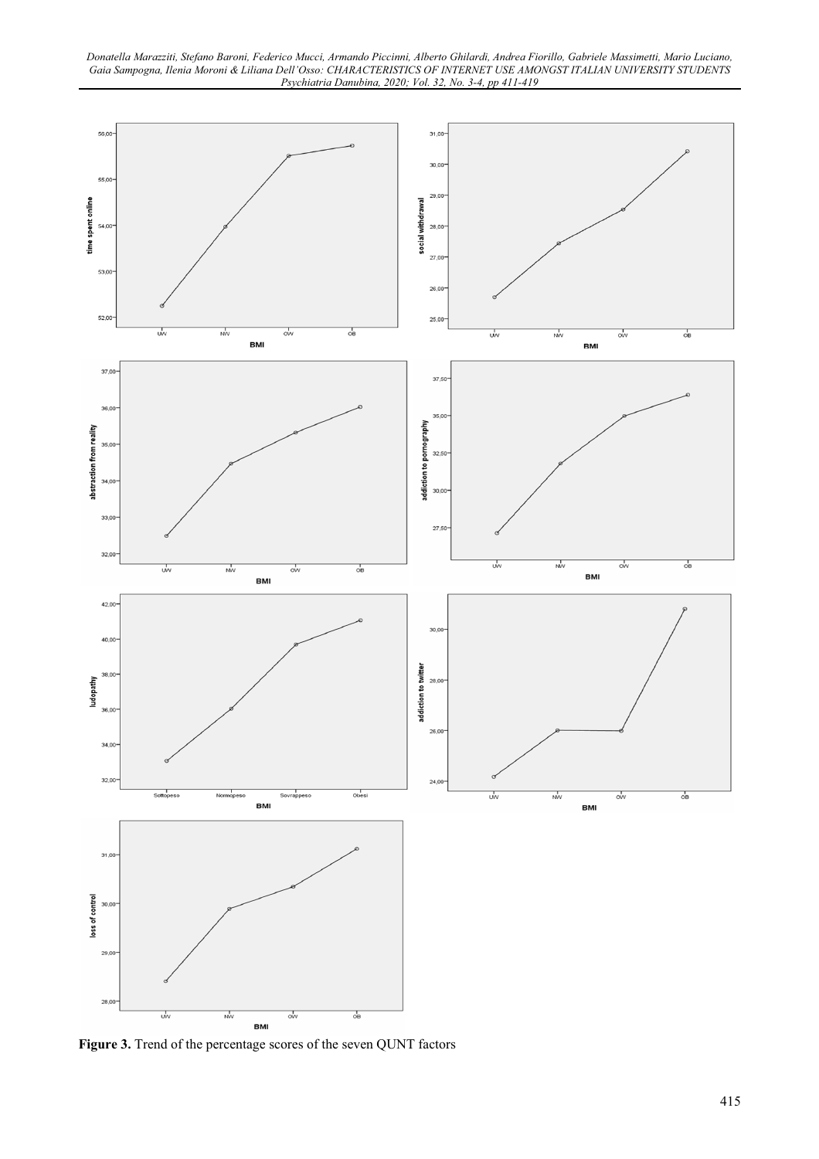

**Figure 3.** Trend of the percentage scores of the seven QUNT factors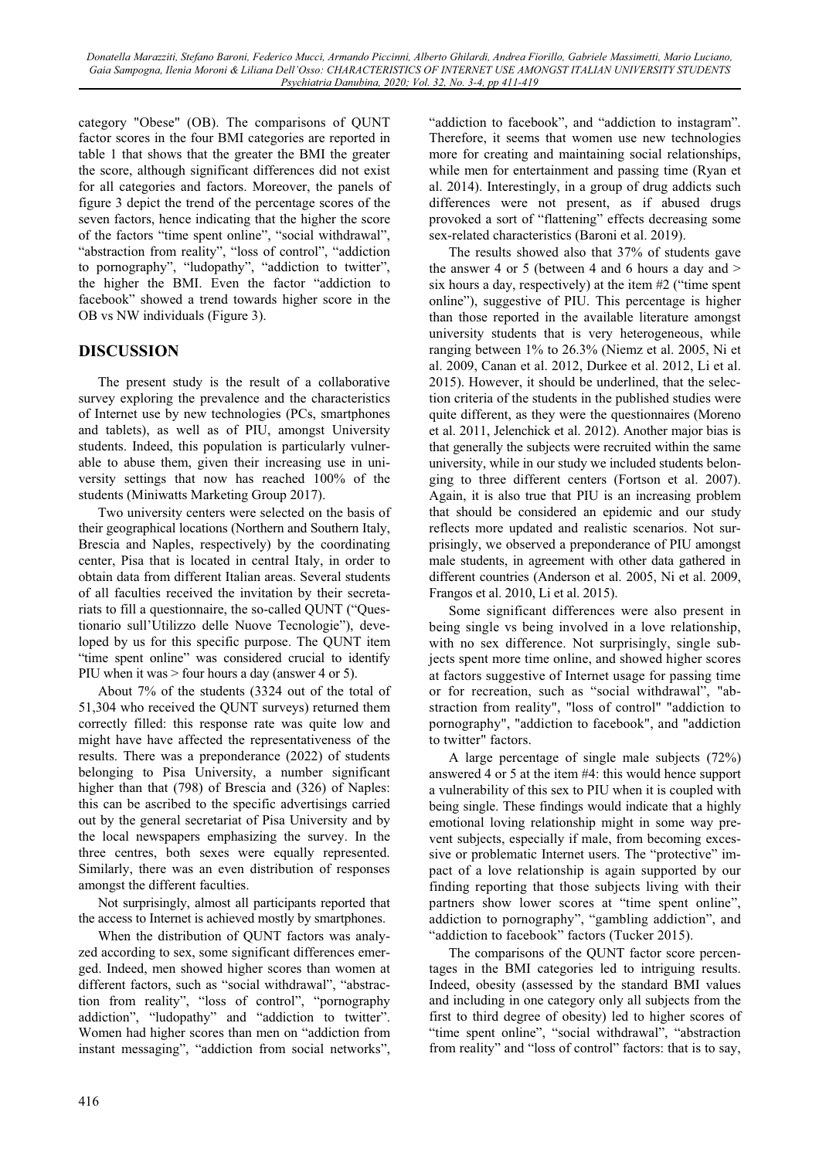category "Obese" (OB). The comparisons of QUNT factor scores in the four BMI categories are reported in table 1 that shows that the greater the BMI the greater the score, although significant differences did not exist for all categories and factors. Moreover, the panels of figure 3 depict the trend of the percentage scores of the seven factors, hence indicating that the higher the score of the factors "time spent online", "social withdrawal", "abstraction from reality", "loss of control", "addiction to pornography", "ludopathy", "addiction to twitter", the higher the BMI. Even the factor "addiction to facebook" showed a trend towards higher score in the OB vs NW individuals (Figure 3).

### **DISCUSSION**

The present study is the result of a collaborative survey exploring the prevalence and the characteristics of Internet use by new technologies (PCs, smartphones and tablets), as well as of PIU, amongst University students. Indeed, this population is particularly vulnerable to abuse them, given their increasing use in university settings that now has reached 100% of the students (Miniwatts Marketing Group 2017).

Two university centers were selected on the basis of their geographical locations (Northern and Southern Italy, Brescia and Naples, respectively) by the coordinating center, Pisa that is located in central Italy, in order to obtain data from different Italian areas. Several students of all faculties received the invitation by their secretariats to fill a questionnaire, the so-called QUNT ("Questionario sull'Utilizzo delle Nuove Tecnologie"), developed by us for this specific purpose. The QUNT item "time spent online" was considered crucial to identify PIU when it was > four hours a day (answer 4 or 5).

About 7% of the students (3324 out of the total of 51,304 who received the QUNT surveys) returned them correctly filled: this response rate was quite low and might have have affected the representativeness of the results. There was a preponderance (2022) of students belonging to Pisa University, a number significant higher than that (798) of Brescia and (326) of Naples: this can be ascribed to the specific advertisings carried out by the general secretariat of Pisa University and by the local newspapers emphasizing the survey. In the three centres, both sexes were equally represented. Similarly, there was an even distribution of responses amongst the different faculties.

Not surprisingly, almost all participants reported that the access to Internet is achieved mostly by smartphones.

When the distribution of QUNT factors was analyzed according to sex, some significant differences emerged. Indeed, men showed higher scores than women at different factors, such as "social withdrawal", "abstraction from reality", "loss of control", "pornography addiction", "ludopathy" and "addiction to twitter". Women had higher scores than men on "addiction from instant messaging", "addiction from social networks",

"addiction to facebook", and "addiction to instagram". Therefore, it seems that women use new technologies more for creating and maintaining social relationships, while men for entertainment and passing time (Ryan et al. 2014). Interestingly, in a group of drug addicts such differences were not present, as if abused drugs provoked a sort of "flattening" effects decreasing some sex-related characteristics (Baroni et al. 2019).

The results showed also that 37% of students gave the answer 4 or 5 (between 4 and 6 hours a day and  $>$ six hours a day, respectively) at the item #2 ("time spent online"), suggestive of PIU. This percentage is higher than those reported in the available literature amongst university students that is very heterogeneous, while ranging between 1% to 26.3% (Niemz et al. 2005, Ni et al. 2009, Canan et al. 2012, Durkee et al. 2012, Li et al. 2015). However, it should be underlined, that the selection criteria of the students in the published studies were quite different, as they were the questionnaires (Moreno et al. 2011, Jelenchick et al. 2012). Another major bias is that generally the subjects were recruited within the same university, while in our study we included students belonging to three different centers (Fortson et al. 2007). Again, it is also true that PIU is an increasing problem that should be considered an epidemic and our study reflects more updated and realistic scenarios. Not surprisingly, we observed a preponderance of PIU amongst male students, in agreement with other data gathered in different countries (Anderson et al. 2005, Ni et al. 2009, Frangos et al. 2010, Li et al. 2015).

Some significant differences were also present in being single vs being involved in a love relationship, with no sex difference. Not surprisingly, single subjects spent more time online, and showed higher scores at factors suggestive of Internet usage for passing time or for recreation, such as "social withdrawal", "abstraction from reality", "loss of control" "addiction to pornography", "addiction to facebook", and "addiction to twitter" factors.

A large percentage of single male subjects (72%) answered 4 or 5 at the item #4: this would hence support a vulnerability of this sex to PIU when it is coupled with being single. These findings would indicate that a highly emotional loving relationship might in some way prevent subjects, especially if male, from becoming excessive or problematic Internet users. The "protective" impact of a love relationship is again supported by our finding reporting that those subjects living with their partners show lower scores at "time spent online", addiction to pornography", "gambling addiction", and "addiction to facebook" factors (Tucker 2015).

The comparisons of the QUNT factor score percentages in the BMI categories led to intriguing results. Indeed, obesity (assessed by the standard BMI values and including in one category only all subjects from the first to third degree of obesity) led to higher scores of "time spent online", "social withdrawal", "abstraction from reality" and "loss of control" factors: that is to say,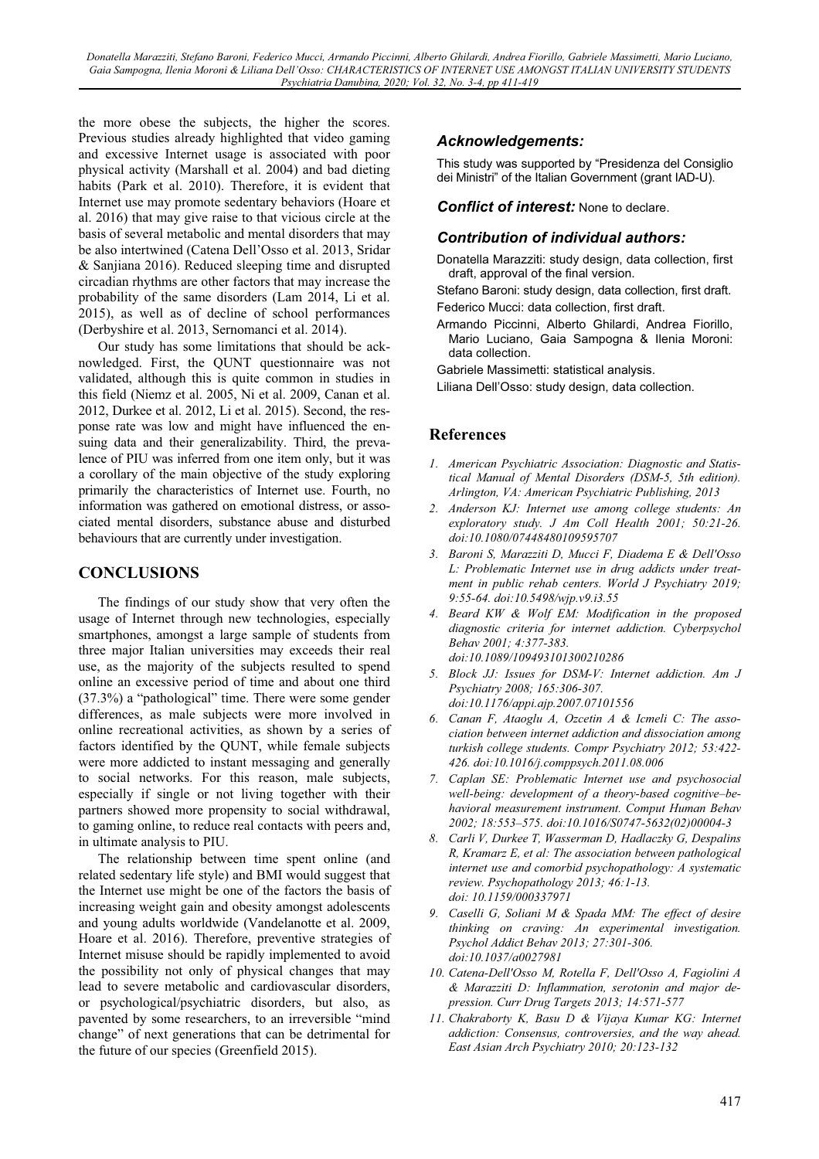*Donatella Marazziti, Stefano Baroni, Federico Mucci, Armando Piccinni, Alberto Ghilardi, Andrea Fiorillo, Gabriele Massimetti, Mario Luciano, Gaia Sampogna, Ilenia Moroni & Liliana Dell'Osso: CHARACTERISTICS OF INTERNET USE AMONGST ITALIAN UNIVERSITY STUDENTS Psychiatria Danubina, 2020; Vol. 32, No. 3-4, pp 411-419* 

the more obese the subjects, the higher the scores. Previous studies already highlighted that video gaming and excessive Internet usage is associated with poor physical activity (Marshall et al. 2004) and bad dieting habits (Park et al. 2010). Therefore, it is evident that Internet use may promote sedentary behaviors (Hoare et al. 2016) that may give raise to that vicious circle at the basis of several metabolic and mental disorders that may be also intertwined (Catena Dell'Osso et al. 2013, Sridar & Sanjiana 2016). Reduced sleeping time and disrupted circadian rhythms are other factors that may increase the probability of the same disorders (Lam 2014, Li et al. 2015), as well as of decline of school performances (Derbyshire et al. 2013, Sernomanci et al. 2014).

Our study has some limitations that should be acknowledged. First, the QUNT questionnaire was not validated, although this is quite common in studies in this field (Niemz et al. 2005, Ni et al. 2009, Canan et al. 2012, Durkee et al. 2012, Li et al. 2015). Second, the response rate was low and might have influenced the ensuing data and their generalizability. Third, the prevalence of PIU was inferred from one item only, but it was a corollary of the main objective of the study exploring primarily the characteristics of Internet use. Fourth, no information was gathered on emotional distress, or associated mental disorders, substance abuse and disturbed behaviours that are currently under investigation.

### **CONCLUSIONS**

The findings of our study show that very often the usage of Internet through new technologies, especially smartphones, amongst a large sample of students from three major Italian universities may exceeds their real use, as the majority of the subjects resulted to spend online an excessive period of time and about one third (37.3%) a "pathological" time. There were some gender differences, as male subjects were more involved in online recreational activities, as shown by a series of factors identified by the QUNT, while female subjects were more addicted to instant messaging and generally to social networks. For this reason, male subjects, especially if single or not living together with their partners showed more propensity to social withdrawal, to gaming online, to reduce real contacts with peers and, in ultimate analysis to PIU.

The relationship between time spent online (and related sedentary life style) and BMI would suggest that the Internet use might be one of the factors the basis of increasing weight gain and obesity amongst adolescents and young adults worldwide (Vandelanotte et al. 2009, Hoare et al. 2016). Therefore, preventive strategies of Internet misuse should be rapidly implemented to avoid the possibility not only of physical changes that may lead to severe metabolic and cardiovascular disorders, or psychological/psychiatric disorders, but also, as pavented by some researchers, to an irreversible "mind change" of next generations that can be detrimental for the future of our species (Greenfield 2015).

#### *Acknowledgements:*

This study was supported by "Presidenza del Consiglio dei Ministri" of the Italian Government (grant IAD-U).

*Conflict of interest:* None to declare.

#### *Contribution of individual authors:*

Donatella Marazziti: study design, data collection, first draft, approval of the final version.

Stefano Baroni: study design, data collection, first draft. Federico Mucci: data collection, first draft.

Armando Piccinni, Alberto Ghilardi, Andrea Fiorillo, Mario Luciano, Gaia Sampogna & Ilenia Moroni: data collection.

Gabriele Massimetti: statistical analysis.

Liliana Dell'Osso: study design, data collection.

#### **References**

- *1. American Psychiatric Association: Diagnostic and Statistical Manual of Mental Disorders (DSM-5, 5th edition). Arlington, VA: American Psychiatric Publishing, 2013*
- *2. Anderson KJ: Internet use among college students: An exploratory study. J Am Coll Health 2001; 50:21-26. doi:10.1080/07448480109595707*
- *3. Baroni S, Marazziti D, Mucci F, Diadema E & Dell'Osso L: Problematic Internet use in drug addicts under treatment in public rehab centers. World J Psychiatry 2019; 9:55-64. doi:10.5498/wjp.v9.i3.55*
- *4. Beard KW & Wolf EM: Modification in the proposed diagnostic criteria for internet addiction. Cyberpsychol Behav 2001; 4:377-383. doi:10.1089/109493101300210286*
- *5. Block JJ: Issues for DSM-V: Internet addiction. Am J Psychiatry 2008; 165:306-307. doi:10.1176/appi.ajp.2007.07101556*
- *6. Canan F, Ataoglu A, Ozcetin A & Icmeli C: The association between internet addiction and dissociation among turkish college students. Compr Psychiatry 2012; 53:422- 426. doi:10.1016/j.comppsych.2011.08.006*
- *7. Caplan SE: Problematic Internet use and psychosocial well-being: development of a theory-based cognitive–behavioral measurement instrument. Comput Human Behav 2002; 18:553–575. doi:10.1016/S0747-5632(02)00004-3*
- *8. Carli V, Durkee T, Wasserman D, Hadlaczky G, Despalins R, Kramarz E, et al: The association between pathological internet use and comorbid psychopathology: A systematic review. Psychopathology 2013; 46:1-13. doi: 10.1159/000337971*
- *9. Caselli G, Soliani M & Spada MM: The effect of desire thinking on craving: An experimental investigation. Psychol Addict Behav 2013; 27:301-306. doi:10.1037/a0027981*
- *10. Catena-Dell'Osso M, Rotella F, Dell'Osso A, Fagiolini A & Marazziti D: Inflammation, serotonin and major depression. Curr Drug Targets 2013; 14:571-577*
- *11. Chakraborty K, Basu D & Vijaya Kumar KG: Internet addiction: Consensus, controversies, and the way ahead. East Asian Arch Psychiatry 2010; 20:123-132*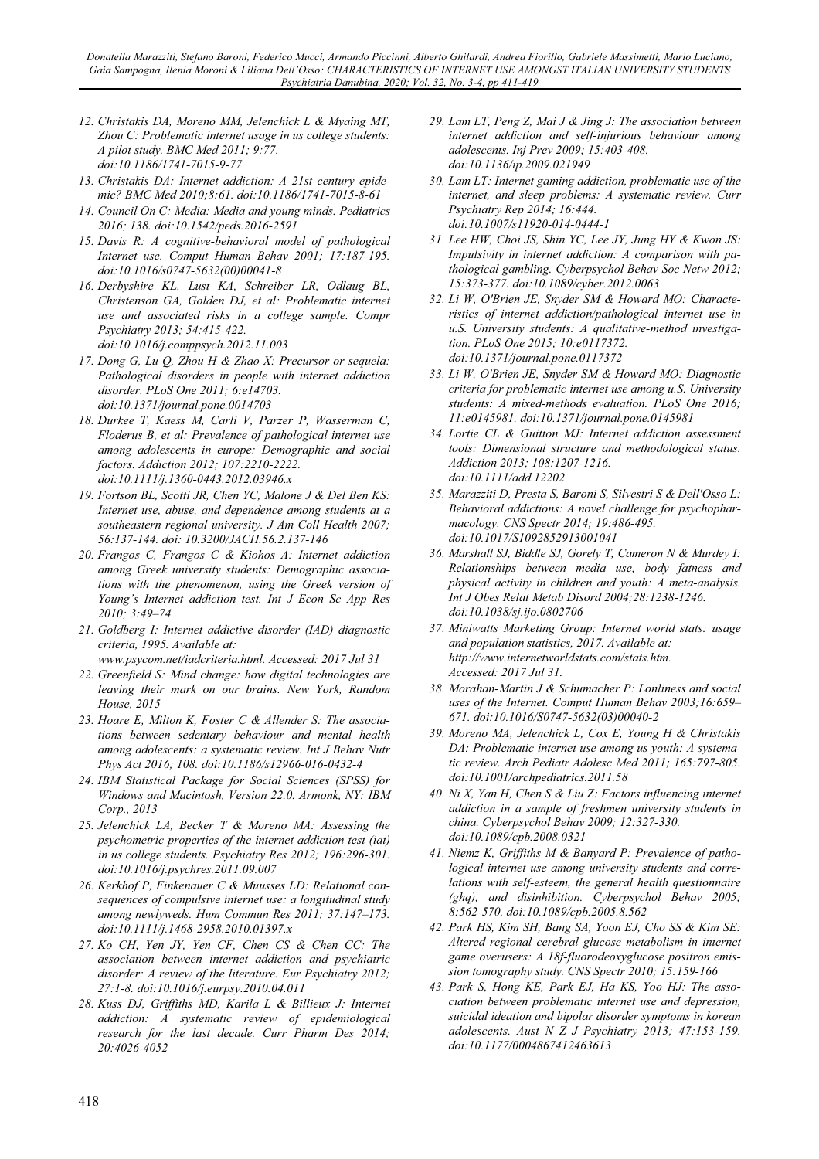*Donatella Marazziti, Stefano Baroni, Federico Mucci, Armando Piccinni, Alberto Ghilardi, Andrea Fiorillo, Gabriele Massimetti, Mario Luciano, Gaia Sampogna, Ilenia Moroni & Liliana Dell'Osso: CHARACTERISTICS OF INTERNET USE AMONGST ITALIAN UNIVERSITY STUDENTS Psychiatria Danubina, 2020; Vol. 32, No. 3-4, pp 411-419* 

- *12. Christakis DA, Moreno MM, Jelenchick L & Myaing MT, Zhou C: Problematic internet usage in us college students: A pilot study. BMC Med 2011; 9:77. doi:10.1186/1741-7015-9-77*
- *13. Christakis DA: Internet addiction: A 21st century epidemic? BMC Med 2010;8:61. doi:10.1186/1741-7015-8-61*
- *14. Council On C: Media: Media and young minds. Pediatrics 2016; 138. doi:10.1542/peds.2016-2591*
- *15. Davis R: A cognitive-behavioral model of pathological Internet use. Comput Human Behav 2001; 17:187-195. doi:10.1016/s0747-5632(00)00041-8*
- *16. Derbyshire KL, Lust KA, Schreiber LR, Odlaug BL, Christenson GA, Golden DJ, et al: Problematic internet use and associated risks in a college sample. Compr Psychiatry 2013; 54:415-422. doi:10.1016/j.comppsych.2012.11.003*
- *17. Dong G, Lu Q, Zhou H & Zhao X: Precursor or sequela: Pathological disorders in people with internet addiction disorder. PLoS One 2011; 6:e14703. doi:10.1371/journal.pone.0014703*
- *18. Durkee T, Kaess M, Carli V, Parzer P, Wasserman C, Floderus B, et al: Prevalence of pathological internet use among adolescents in europe: Demographic and social factors. Addiction 2012; 107:2210-2222. doi:10.1111/j.1360-0443.2012.03946.x*
- *19. Fortson BL, Scotti JR, Chen YC, Malone J & Del Ben KS: Internet use, abuse, and dependence among students at a southeastern regional university. J Am Coll Health 2007; 56:137-144. doi: 10.3200/JACH.56.2.137-146*
- *20. Frangos C, Frangos C & Kiohos A: Internet addiction among Greek university students: Demographic associations with the phenomenon, using the Greek version of Young's Internet addiction test. Int J Econ Sc App Res 2010; 3:49–74*
- *21. Goldberg I: Internet addictive disorder (IAD) diagnostic criteria, 1995. Available at:*
- *www.psycom.net/iadcriteria.html. Accessed: 2017 Jul 31*
- *22. Greenfield S: Mind change: how digital technologies are leaving their mark on our brains. New York, Random House, 2015*
- *23. Hoare E, Milton K, Foster C & Allender S: The associations between sedentary behaviour and mental health among adolescents: a systematic review. Int J Behav Nutr Phys Act 2016; 108. doi:10.1186/s12966-016-0432-4*
- *24. IBM Statistical Package for Social Sciences (SPSS) for Windows and Macintosh, Version 22.0. Armonk, NY: IBM Corp., 2013*
- *25. Jelenchick LA, Becker T & Moreno MA: Assessing the psychometric properties of the internet addiction test (iat) in us college students. Psychiatry Res 2012; 196:296-301. doi:10.1016/j.psychres.2011.09.007*
- *26. Kerkhof P, Finkenauer C & Muusses LD: Relational consequences of compulsive internet use: a longitudinal study among newlyweds. Hum Commun Res 2011; 37:147–173. doi:10.1111/j.1468-2958.2010.01397.x*
- *27. Ko CH, Yen JY, Yen CF, Chen CS & Chen CC: The association between internet addiction and psychiatric disorder: A review of the literature. Eur Psychiatry 2012; 27:1-8. doi:10.1016/j.eurpsy.2010.04.011*
- *28. Kuss DJ, Griffiths MD, Karila L & Billieux J: Internet addiction: A systematic review of epidemiological research for the last decade. Curr Pharm Des 2014; 20:4026-4052*
- *29. Lam LT, Peng Z, Mai J & Jing J: The association between internet addiction and self-injurious behaviour among adolescents. Inj Prev 2009; 15:403-408. doi:10.1136/ip.2009.021949*
- *30. Lam LT: Internet gaming addiction, problematic use of the internet, and sleep problems: A systematic review. Curr Psychiatry Rep 2014; 16:444. doi:10.1007/s11920-014-0444-1*
- *31. Lee HW, Choi JS, Shin YC, Lee JY, Jung HY & Kwon JS: Impulsivity in internet addiction: A comparison with pathological gambling. Cyberpsychol Behav Soc Netw 2012; 15:373-377. doi:10.1089/cyber.2012.0063*
- *32. Li W, O'Brien JE, Snyder SM & Howard MO: Characteristics of internet addiction/pathological internet use in u.S. University students: A qualitative-method investigation. PLoS One 2015; 10:e0117372. doi:10.1371/journal.pone.0117372*
- *33. Li W, O'Brien JE, Snyder SM & Howard MO: Diagnostic criteria for problematic internet use among u.S. University students: A mixed-methods evaluation. PLoS One 2016; 11:e0145981. doi:10.1371/journal.pone.0145981*
- *34. Lortie CL & Guitton MJ: Internet addiction assessment tools: Dimensional structure and methodological status. Addiction 2013; 108:1207-1216. doi:10.1111/add.12202*
- *35. Marazziti D, Presta S, Baroni S, Silvestri S & Dell'Osso L: Behavioral addictions: A novel challenge for psychopharmacology. CNS Spectr 2014; 19:486-495. doi:10.1017/S1092852913001041*
- *36. Marshall SJ, Biddle SJ, Gorely T, Cameron N & Murdey I: Relationships between media use, body fatness and physical activity in children and youth: A meta-analysis. Int J Obes Relat Metab Disord 2004;28:1238-1246. doi:10.1038/sj.ijo.0802706*
- *37. Miniwatts Marketing Group: Internet world stats: usage and population statistics, 2017. Available at: http://www.internetworldstats.com/stats.htm. Accessed: 2017 Jul 31.*
- *38. Morahan-Martin J & Schumacher P: Lonliness and social uses of the Internet. Comput Human Behav 2003;16:659– 671. doi:10.1016/S0747-5632(03)00040-2*
- *39. Moreno MA, Jelenchick L, Cox E, Young H & Christakis DA: Problematic internet use among us youth: A systematic review. Arch Pediatr Adolesc Med 2011; 165:797-805. doi:10.1001/archpediatrics.2011.58*
- *40. Ni X, Yan H, Chen S & Liu Z: Factors influencing internet addiction in a sample of freshmen university students in china. Cyberpsychol Behav 2009; 12:327-330. doi:10.1089/cpb.2008.0321*
- *41. Niemz K, Griffiths M & Banyard P: Prevalence of pathological internet use among university students and correlations with self-esteem, the general health questionnaire (ghq), and disinhibition. Cyberpsychol Behav 2005; 8:562-570. doi:10.1089/cpb.2005.8.562*
- *42. Park HS, Kim SH, Bang SA, Yoon EJ, Cho SS & Kim SE: Altered regional cerebral glucose metabolism in internet game overusers: A 18f-fluorodeoxyglucose positron emission tomography study. CNS Spectr 2010; 15:159-166*
- *43. Park S, Hong KE, Park EJ, Ha KS, Yoo HJ: The association between problematic internet use and depression, suicidal ideation and bipolar disorder symptoms in korean adolescents. Aust N Z J Psychiatry 2013; 47:153-159. doi:10.1177/0004867412463613*